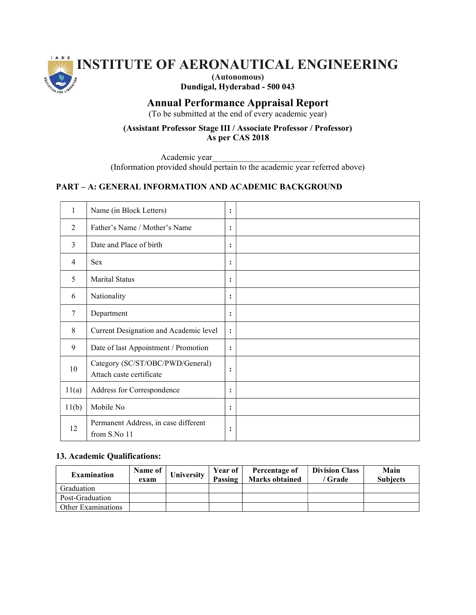

# INSTITUTE OF AERONAUTICAL ENGINEERING

(Autonomous) Dundigal, Hyderabad - 500 043

# Annual Performance Appraisal Report

(To be submitted at the end of every academic year)

## (Assistant Professor Stage III / Associate Professor / Professor) As per CAS 2018

Academic year\_\_\_\_\_\_\_\_\_\_\_\_\_\_\_\_\_\_\_\_\_\_\_\_

(Information provided should pertain to the academic year referred above)

## PART – A: GENERAL INFORMATION AND ACADEMIC BACKGROUND

| 1              | Name (in Block Letters)                                      | :              |  |
|----------------|--------------------------------------------------------------|----------------|--|
| $\overline{2}$ | Father's Name / Mother's Name                                | :              |  |
| 3              | Date and Place of birth                                      | :              |  |
| $\overline{4}$ | <b>Sex</b>                                                   | :              |  |
| 5              | <b>Marital Status</b>                                        | :              |  |
| 6              | Nationality                                                  | :              |  |
| 7              | Department                                                   | :              |  |
| 8              | Current Designation and Academic level                       | $\ddot{\cdot}$ |  |
| 9              | Date of last Appointment / Promotion                         | :              |  |
| 10             | Category (SC/ST/OBC/PWD/General)<br>Attach caste certificate | :              |  |
| 11(a)          | Address for Correspondence                                   | $\ddot{\cdot}$ |  |
| 11(b)          | Mobile No                                                    | :              |  |
| 12             | Permanent Address, in case different<br>from S.No 11         | :              |  |

## 13. Academic Qualifications:

| <b>Examination</b> | Name of<br>exam | University | Year of<br>Passing | Percentage of<br><b>Marks obtained</b> | <b>Division Class</b><br>Grade | Main<br><b>Subjects</b> |
|--------------------|-----------------|------------|--------------------|----------------------------------------|--------------------------------|-------------------------|
| Graduation         |                 |            |                    |                                        |                                |                         |
| Post-Graduation    |                 |            |                    |                                        |                                |                         |
| Other Examinations |                 |            |                    |                                        |                                |                         |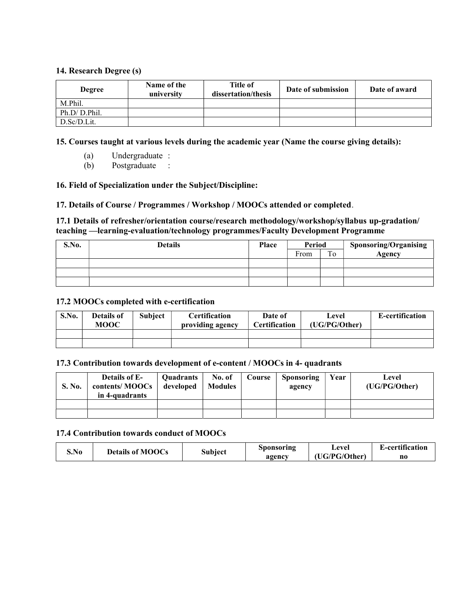## 14. Research Degree (s)

| <b>Degree</b> | Name of the<br>university | <b>Title of</b><br>dissertation/thesis | Date of submission | Date of award |
|---------------|---------------------------|----------------------------------------|--------------------|---------------|
| M.Phil.       |                           |                                        |                    |               |
| Ph.D/D.Phil.  |                           |                                        |                    |               |
| D.Sc/D.Lit.   |                           |                                        |                    |               |

15. Courses taught at various levels during the academic year (Name the course giving details):

- (a) Undergraduate :
- (b) Postgraduate :

#### 16. Field of Specialization under the Subject/Discipline:

#### 17. Details of Course / Programmes / Workshop / MOOCs attended or completed.

## 17.1 Details of refresher/orientation course/research methodology/workshop/syllabus up-gradation/ teaching —learning-evaluation/technology programmes/Faculty Development Programme

| S.No. | <b>Details</b> | Place | Period |    | <b>Sponsoring/Organising</b> |
|-------|----------------|-------|--------|----|------------------------------|
|       |                |       | From   | To | <b>Agency</b>                |
|       |                |       |        |    |                              |
|       |                |       |        |    |                              |
|       |                |       |        |    |                              |

#### 17.2 MOOCs completed with e-certification

| S.No. | Details of<br><b>MOOC</b> | <b>Subject</b> | <b>Certification</b><br>providing agency | Date of<br><b>Certification</b> | Level<br>(UG/PG/Other) | E-certification |
|-------|---------------------------|----------------|------------------------------------------|---------------------------------|------------------------|-----------------|
|       |                           |                |                                          |                                 |                        |                 |
|       |                           |                |                                          |                                 |                        |                 |

#### 17.3 Contribution towards development of e-content / MOOCs in 4- quadrants

| S. No. | <b>Details of E-</b><br>contents/MOOCs<br>in 4-quadrants | <b>Ouadrants</b><br>developed | No. of<br><b>Modules</b> | Course | <b>Sponsoring</b><br>agency | Year | Level<br>(UG/PG/Other) |
|--------|----------------------------------------------------------|-------------------------------|--------------------------|--------|-----------------------------|------|------------------------|
|        |                                                          |                               |                          |        |                             |      |                        |
|        |                                                          |                               |                          |        |                             |      |                        |

#### 17.4 Contribution towards conduct of MOOCs

|       | <b>Details of MOOCs</b> | Subject | Sponsoring | Level         | E-certification |
|-------|-------------------------|---------|------------|---------------|-----------------|
| .S.NO |                         |         | agency     | (UG/PG/Other) | no              |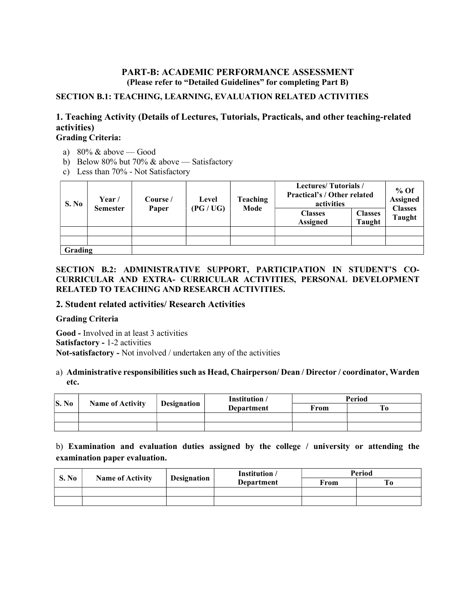## PART-B: ACADEMIC PERFORMANCE ASSESSMENT (Please refer to "Detailed Guidelines" for completing Part B)

## SECTION B.1: TEACHING, LEARNING, EVALUATION RELATED ACTIVITIES

## 1. Teaching Activity (Details of Lectures, Tutorials, Practicals, and other teaching-related activities) Grading Criteria:

# a)  $80\%$  & above — Good

- b) Below 80% but 70% & above Satisfactory
- c) Less than 70% Not Satisfactory

| S. No   | Year /<br><b>Semester</b> | Course /<br>Paper | Level<br>(PG / UG) | <b>Teaching</b><br>Mode | <b>Lectures/Tutorials/</b><br><b>Practical's / Other related</b><br>activities<br><b>Classes</b> | <b>Classes</b> | % Of<br><b>Assigned</b><br><b>Classes</b><br>Taught |
|---------|---------------------------|-------------------|--------------------|-------------------------|--------------------------------------------------------------------------------------------------|----------------|-----------------------------------------------------|
|         |                           |                   |                    |                         | <b>Assigned</b>                                                                                  | <b>Taught</b>  |                                                     |
| Grading |                           |                   |                    |                         |                                                                                                  |                |                                                     |

## SECTION B.2: ADMINISTRATIVE SUPPORT, PARTICIPATION IN STUDENT'S CO-CURRICULAR AND EXTRA- CURRICULAR ACTIVITIES, PERSONAL DEVELOPMENT RELATED TO TEACHING AND RESEARCH ACTIVITIES.

## 2. Student related activities/ Research Activities

## Grading Criteria

Good - Involved in at least 3 activities Satisfactory - 1-2 activities Not-satisfactory - Not involved / undertaken any of the activities

## a) Administrative responsibilities such as Head, Chairperson/ Dean / Director / coordinator, Warden etc.

| $\vert$ S. No |                         |                    | Institution / | Period |  |  |
|---------------|-------------------------|--------------------|---------------|--------|--|--|
|               | <b>Name of Activity</b> | <b>Designation</b> | Department    | From   |  |  |
|               |                         |                    |               |        |  |  |
|               |                         |                    |               |        |  |  |

b) Examination and evaluation duties assigned by the college / university or attending the examination paper evaluation.

| <b>S. No</b> | <b>Name of Activity</b> |             | Institution / | Period |    |
|--------------|-------------------------|-------------|---------------|--------|----|
|              |                         | Designation | Department    | From   | Tо |
|              |                         |             |               |        |    |
|              |                         |             |               |        |    |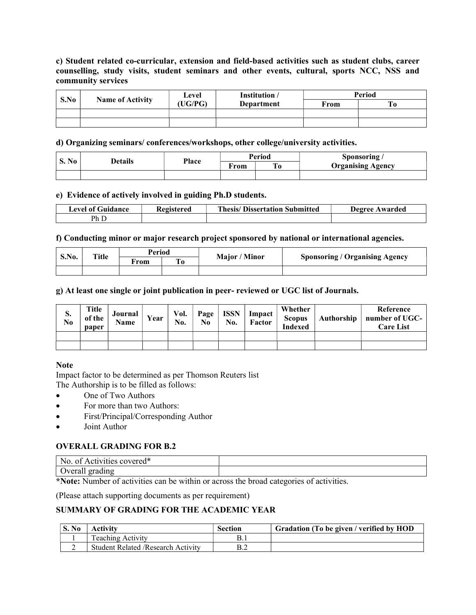## c) Student related co-curricular, extension and field-based activities such as student clubs, career counselling, study visits, student seminars and other events, cultural, sports NCC, NSS and community services

| S.No | <b>Name of Activity</b> | Level  | Institution /     | Period |    |  |
|------|-------------------------|--------|-------------------|--------|----|--|
|      |                         | UG/PG) | <b>Department</b> | From   | Tо |  |
|      |                         |        |                   |        |    |  |
|      |                         |        |                   |        |    |  |

d) Organizing seminars/ conferences/workshops, other college/university activities.

| <b>BT</b>    |                |       | <b>Period</b><br>∼<br>†rom |  | Sponsoring               |
|--------------|----------------|-------|----------------------------|--|--------------------------|
| <b>S. No</b> | <b>Details</b> | Place |                            |  | <b>Organising Agency</b> |
|              |                |       |                            |  |                          |

#### e) Evidence of actively involved in guiding Ph.D students.

| evel of Guidance. | Kegistered | <b>Thesis/ Dissertation Submitted</b> | Degree Awarded |
|-------------------|------------|---------------------------------------|----------------|
| $P_{h,L}$         |            |                                       |                |

#### f) Conducting minor or major research project sponsored by national or international agencies.

| S.No. |              | Period |                   |               |                                       |  |
|-------|--------------|--------|-------------------|---------------|---------------------------------------|--|
|       | <b>Title</b> | ∀rom   | <b>CONT</b><br>`O | Major / Minor | <b>Sponsoring / Organising Agency</b> |  |
|       |              |        |                   |               |                                       |  |

g) At least one single or joint publication in peer- reviewed or UGC list of Journals.

| S.<br>$\overline{\text{No}}$ | Title<br>of the<br>paper | Journal<br>Name | Year | Vol.<br>No. | Page<br>$\bf N_0$ | <b>ISSN</b><br>No. | Impact<br>Factor | Whether<br><b>Scopus</b><br><b>Indexed</b> | Authorship | Reference<br>number of UGC-<br><b>Care List</b> |
|------------------------------|--------------------------|-----------------|------|-------------|-------------------|--------------------|------------------|--------------------------------------------|------------|-------------------------------------------------|
|                              |                          |                 |      |             |                   |                    |                  |                                            |            |                                                 |
|                              |                          |                 |      |             |                   |                    |                  |                                            |            |                                                 |

## **Note**

Impact factor to be determined as per Thomson Reuters list The Authorship is to be filled as follows:

- One of Two Authors
- For more than two Authors:
- First/Principal/Corresponding Author
- Joint Author

## OVERALL GRADING FOR B.2

| 1 J<br>No<br>≏overeu<br>ΩT<br>ACL               |  |
|-------------------------------------------------|--|
| . .<br>177244<br>$\sim$ 0.00<br>$\sigma$ verale |  |

\*Note: Number of activities can be within or across the broad categories of activities.

(Please attach supporting documents as per requirement)

## SUMMARY OF GRADING FOR THE ACADEMIC YEAR

| S. No | <b>Activity</b>                            | Section | Gradation (To be given / verified by HOD |
|-------|--------------------------------------------|---------|------------------------------------------|
|       | <b>Teaching Activity</b>                   |         |                                          |
|       | <b>Student Related / Research Activity</b> |         |                                          |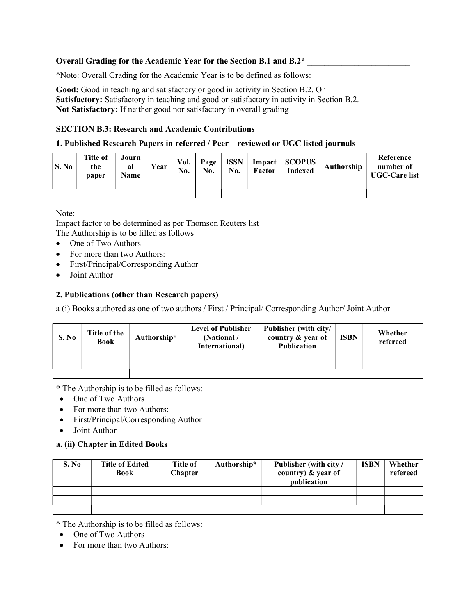## Overall Grading for the Academic Year for the Section B.1 and B.2\*

\*Note: Overall Grading for the Academic Year is to be defined as follows:

Good: Good in teaching and satisfactory or good in activity in Section B.2. Or Satisfactory: Satisfactory in teaching and good or satisfactory in activity in Section B.2. Not Satisfactory: If neither good nor satisfactory in overall grading

## SECTION B.3: Research and Academic Contributions

## 1. Published Research Papers in referred / Peer – reviewed or UGC listed journals

| S. No | <b>Title of</b><br>the<br>paper | Journ<br>al<br>Name | Year | Vol.<br>No. | No. | Page   ISSN<br>No. | Factor | Impact   SCOPUS  <br><b>Indexed</b> | Authorship | Reference<br>number of<br><b>UGC-Care list</b> |
|-------|---------------------------------|---------------------|------|-------------|-----|--------------------|--------|-------------------------------------|------------|------------------------------------------------|
|       |                                 |                     |      |             |     |                    |        |                                     |            |                                                |
|       |                                 |                     |      |             |     |                    |        |                                     |            |                                                |

Note:

Impact factor to be determined as per Thomson Reuters list The Authorship is to be filled as follows

- One of Two Authors
- For more than two Authors:
- First/Principal/Corresponding Author
- Joint Author

## 2. Publications (other than Research papers)

a (i) Books authored as one of two authors / First / Principal/ Corresponding Author/ Joint Author

| S. No | Title of the<br><b>Book</b> | Authorship* | <b>Level of Publisher</b><br>(National /<br><b>International</b> ) | Publisher (with city/<br>country & year of<br><b>Publication</b> | <b>ISBN</b> | Whether<br>refereed |
|-------|-----------------------------|-------------|--------------------------------------------------------------------|------------------------------------------------------------------|-------------|---------------------|
|       |                             |             |                                                                    |                                                                  |             |                     |
|       |                             |             |                                                                    |                                                                  |             |                     |
|       |                             |             |                                                                    |                                                                  |             |                     |

\* The Authorship is to be filled as follows:

- One of Two Authors
- For more than two Authors:
- First/Principal/Corresponding Author
- Joint Author

## a. (ii) Chapter in Edited Books

| S. No | <b>Title of Edited</b><br><b>Book</b> | <b>Title of</b><br><b>Chapter</b> | Authorship* | Publisher (with city /<br>country) & year of<br>publication | <b>ISBN</b> | Whether<br>refereed |
|-------|---------------------------------------|-----------------------------------|-------------|-------------------------------------------------------------|-------------|---------------------|
|       |                                       |                                   |             |                                                             |             |                     |
|       |                                       |                                   |             |                                                             |             |                     |
|       |                                       |                                   |             |                                                             |             |                     |

\* The Authorship is to be filled as follows:

- One of Two Authors
- For more than two Authors: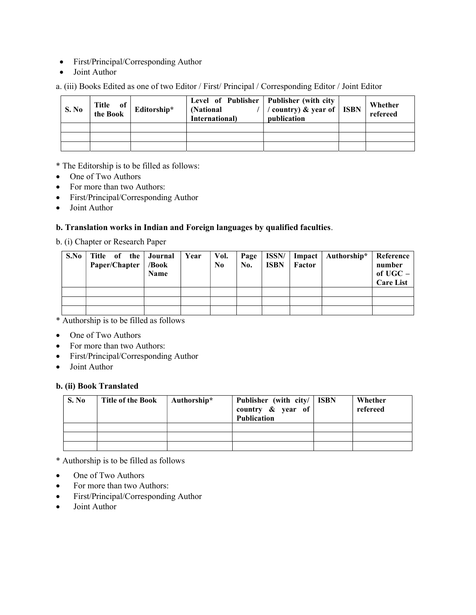- First/Principal/Corresponding Author
- Joint Author

a. (iii) Books Edited as one of two Editor / First/ Principal / Corresponding Editor / Joint Editor

| S. No | Title of<br>the Book | Editorship* | Level of Publisher   Publisher (with city<br>(National)<br>International) | / country) & year of   ISBN<br>publication | Whether<br>refereed |
|-------|----------------------|-------------|---------------------------------------------------------------------------|--------------------------------------------|---------------------|
|       |                      |             |                                                                           |                                            |                     |
|       |                      |             |                                                                           |                                            |                     |
|       |                      |             |                                                                           |                                            |                     |

# \* The Editorship is to be filled as follows:

- One of Two Authors
- For more than two Authors:
- First/Principal/Corresponding Author
- Joint Author

## b. Translation works in Indian and Foreign languages by qualified faculties.

b. (i) Chapter or Research Paper

| S.No | Title of the<br>Paper/Chapter | Journal<br>/Book<br><b>Name</b> | Year | Vol.<br>No. | Page<br>No. | ISSN/<br><b>ISBN</b> | Factor | Impact   Authorship* | Reference<br>number<br>of $UGC -$<br><b>Care List</b> |
|------|-------------------------------|---------------------------------|------|-------------|-------------|----------------------|--------|----------------------|-------------------------------------------------------|
|      |                               |                                 |      |             |             |                      |        |                      |                                                       |
|      |                               |                                 |      |             |             |                      |        |                      |                                                       |
|      |                               |                                 |      |             |             |                      |        |                      |                                                       |

\* Authorship is to be filled as follows

- One of Two Authors
- For more than two Authors:
- First/Principal/Corresponding Author
- Joint Author

## b. (ii) Book Translated

| S. No | <b>Title of the Book</b> | Authorship* | Publisher (with city/   ISBN<br>country $\&$ year of<br><b>Publication</b> | Whether<br>refereed |
|-------|--------------------------|-------------|----------------------------------------------------------------------------|---------------------|
|       |                          |             |                                                                            |                     |
|       |                          |             |                                                                            |                     |
|       |                          |             |                                                                            |                     |

\* Authorship is to be filled as follows

- One of Two Authors
- For more than two Authors:
- First/Principal/Corresponding Author
- Joint Author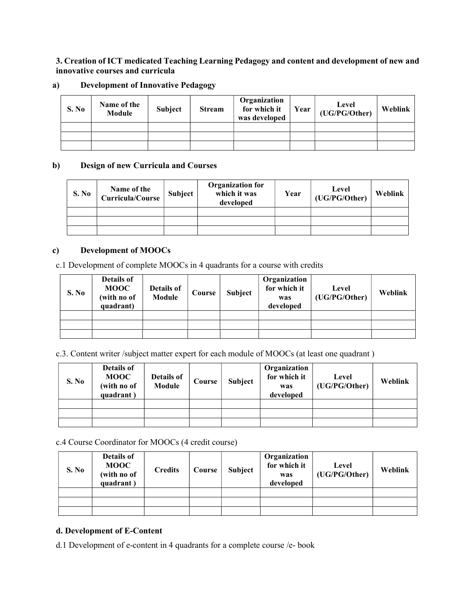## 3. Creation of ICT medicated Teaching Learning Pedagogy and content and development of new and innovative courses and curricula

## a) Development of Innovative Pedagogy

| S. No | Name of the<br>Module | Subject | <b>Stream</b> | Organization<br>for which it<br>was developed | Year | Level<br>(UG/PG/Other) | Weblink |
|-------|-----------------------|---------|---------------|-----------------------------------------------|------|------------------------|---------|
|       |                       |         |               |                                               |      |                        |         |
|       |                       |         |               |                                               |      |                        |         |
|       |                       |         |               |                                               |      |                        |         |

## b) Design of new Curricula and Courses

| S. No | Name of the<br><b>Curricula/Course</b> | <b>Subject</b> | <b>Organization for</b><br>which it was<br>developed | Year | Level<br>(UG/PG/Other) | Weblink |
|-------|----------------------------------------|----------------|------------------------------------------------------|------|------------------------|---------|
|       |                                        |                |                                                      |      |                        |         |
|       |                                        |                |                                                      |      |                        |         |
|       |                                        |                |                                                      |      |                        |         |

## c) Development of MOOCs

c.1 Development of complete MOOCs in 4 quadrants for a course with credits

| S. No | Details of<br><b>MOOC</b><br>(with no of<br>quadrant) | Details of<br>Module | Course | Subject | Organization<br>for which it<br>was<br>developed | Level<br>(UG/PG/Other) | Weblink |
|-------|-------------------------------------------------------|----------------------|--------|---------|--------------------------------------------------|------------------------|---------|
|       |                                                       |                      |        |         |                                                  |                        |         |
|       |                                                       |                      |        |         |                                                  |                        |         |
|       |                                                       |                      |        |         |                                                  |                        |         |

c.3. Content writer /subject matter expert for each module of MOOCs (at least one quadrant )

| S. No | Details of<br><b>MOOC</b><br>(with no of<br>quadrant) | Details of<br>Module | Course | Subject | Organization<br>for which it<br>was<br>developed | Level<br>(UG/PG/Other) | Weblink |
|-------|-------------------------------------------------------|----------------------|--------|---------|--------------------------------------------------|------------------------|---------|
|       |                                                       |                      |        |         |                                                  |                        |         |
|       |                                                       |                      |        |         |                                                  |                        |         |
|       |                                                       |                      |        |         |                                                  |                        |         |

c.4 Course Coordinator for MOOCs (4 credit course)

| S. No | Details of<br><b>MOOC</b><br>(with no of<br>quadrant) | <b>Credits</b> | Course | Subject | Organization<br>for which it<br>was<br>developed | Level<br>(UG/PG/Other) | Weblink |
|-------|-------------------------------------------------------|----------------|--------|---------|--------------------------------------------------|------------------------|---------|
|       |                                                       |                |        |         |                                                  |                        |         |
|       |                                                       |                |        |         |                                                  |                        |         |
|       |                                                       |                |        |         |                                                  |                        |         |

## d. Development of E-Content

d.1 Development of e-content in 4 quadrants for a complete course /e- book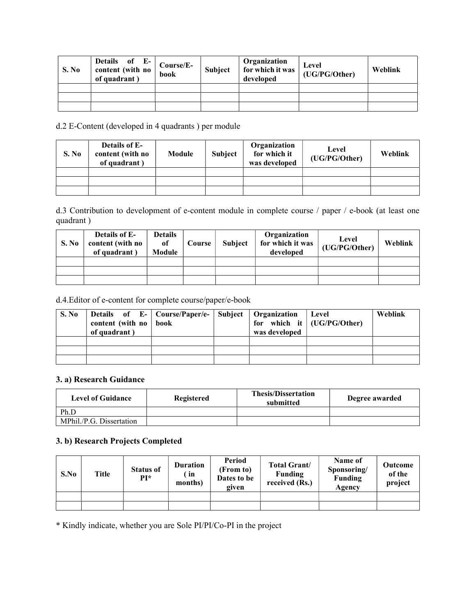| S. No | Details of E-<br>content (with no<br>of quadrant) | Course/E-<br>book | Subject | Organization<br>for which it was<br>developed | Level<br>(UG/PG/Other) | Weblink |
|-------|---------------------------------------------------|-------------------|---------|-----------------------------------------------|------------------------|---------|
|       |                                                   |                   |         |                                               |                        |         |
|       |                                                   |                   |         |                                               |                        |         |
|       |                                                   |                   |         |                                               |                        |         |

# d.2 E-Content (developed in 4 quadrants ) per module

| S. No | <b>Details of E-</b><br>content (with no<br>of quadrant) | Module | <b>Subject</b> | Organization<br>for which it<br>was developed | Level<br>(UG/PG/Other) | Weblink |
|-------|----------------------------------------------------------|--------|----------------|-----------------------------------------------|------------------------|---------|
|       |                                                          |        |                |                                               |                        |         |
|       |                                                          |        |                |                                               |                        |         |
|       |                                                          |        |                |                                               |                        |         |

d.3 Contribution to development of e-content module in complete course / paper / e-book (at least one quadrant )

| <b>S. No</b> | <b>Details of E-</b><br>content (with no<br>of quadrant) | <b>Details</b><br>of<br>Module | Course | <b>Subject</b> | Organization<br>for which it was<br>developed | Level<br>(UG/PG/Other) | Weblink |
|--------------|----------------------------------------------------------|--------------------------------|--------|----------------|-----------------------------------------------|------------------------|---------|
|              |                                                          |                                |        |                |                                               |                        |         |
|              |                                                          |                                |        |                |                                               |                        |         |
|              |                                                          |                                |        |                |                                               |                        |         |

d.4.Editor of e-content for complete course/paper/e-book

| S. No | Details of E-   Course/Paper/e-<br>content (with no   book<br>of quadrant) |  | Subject   Organization<br>was developed | Level<br>for which it $\vert$ (UG/PG/Other) | Weblink |
|-------|----------------------------------------------------------------------------|--|-----------------------------------------|---------------------------------------------|---------|
|       |                                                                            |  |                                         |                                             |         |
|       |                                                                            |  |                                         |                                             |         |
|       |                                                                            |  |                                         |                                             |         |

#### 3. a) Research Guidance

| <b>Level of Guidance</b> | Registered | <b>Thesis/Dissertation</b><br>submitted | Degree awarded |  |
|--------------------------|------------|-----------------------------------------|----------------|--|
| Ph.D                     |            |                                         |                |  |
| MPhil./P.G. Dissertation |            |                                         |                |  |

# 3. b) Research Projects Completed

| S.No | Title | <b>Status of</b><br>PI* | Duration<br>in<br>months) | Period<br>(From to)<br>Dates to be<br>given | <b>Total Grant/</b><br><b>Funding</b><br>received (Rs.) | Name of<br>Sponsoring/<br><b>Funding</b><br>Agency | Outcome<br>of the<br>project |
|------|-------|-------------------------|---------------------------|---------------------------------------------|---------------------------------------------------------|----------------------------------------------------|------------------------------|
|      |       |                         |                           |                                             |                                                         |                                                    |                              |
|      |       |                         |                           |                                             |                                                         |                                                    |                              |

\* Kindly indicate, whether you are Sole PI/PI/Co-PI in the project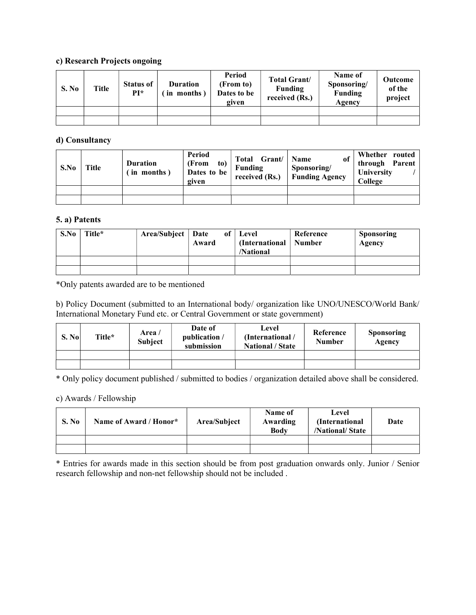## c) Research Projects ongoing

| S. No | Title | <b>Status of</b><br>PI* | <b>Duration</b><br>in months) | Period<br>(From to)<br>Dates to be<br>given | <b>Total Grant</b> /<br><b>Funding</b><br>received (Rs.) | Name of<br>Sponsoring/<br><b>Funding</b><br>Agencv | Outcome<br>of the<br>project |
|-------|-------|-------------------------|-------------------------------|---------------------------------------------|----------------------------------------------------------|----------------------------------------------------|------------------------------|
|       |       |                         |                               |                                             |                                                          |                                                    |                              |
|       |       |                         |                               |                                             |                                                          |                                                    |                              |

#### d) Consultancy

| S.No | <b>Title</b> | <b>Duration</b><br>in months) | Period<br>(From<br>to)<br>Dates to be<br>given | Grant/<br>Total<br>Funding<br>received (Rs.) | of<br><b>Name</b><br>Sponsoring/<br><b>Funding Agency</b> | Whether routed<br>through Parent<br>University<br>College |
|------|--------------|-------------------------------|------------------------------------------------|----------------------------------------------|-----------------------------------------------------------|-----------------------------------------------------------|
|      |              |                               |                                                |                                              |                                                           |                                                           |
|      |              |                               |                                                |                                              |                                                           |                                                           |

#### 5. a) Patents

| S.No | Title* | $Area/Subject$ Date | Award | of   Level<br>(International   Number<br>/National | Reference | <b>Sponsoring</b><br>Agency |
|------|--------|---------------------|-------|----------------------------------------------------|-----------|-----------------------------|
|      |        |                     |       |                                                    |           |                             |
|      |        |                     |       |                                                    |           |                             |

\*Only patents awarded are to be mentioned

b) Policy Document (submitted to an International body/ organization like UNO/UNESCO/World Bank/ International Monetary Fund etc. or Central Government or state government)

| S. No | Title* | Area /<br><b>Subject</b> | Date of<br>publication /<br>submission | Level<br>(International /<br><b>National / State</b> | Reference<br><b>Number</b> | <b>Sponsoring</b><br>Agency |
|-------|--------|--------------------------|----------------------------------------|------------------------------------------------------|----------------------------|-----------------------------|
|       |        |                          |                                        |                                                      |                            |                             |
|       |        |                          |                                        |                                                      |                            |                             |

\* Only policy document published / submitted to bodies / organization detailed above shall be considered.

#### c) Awards / Fellowship

| S. No | Name of Award / Honor* | Area/Subject | Name of<br>Awarding<br><b>Body</b> | Level<br><i>(International)</i><br>/National/State | Date |
|-------|------------------------|--------------|------------------------------------|----------------------------------------------------|------|
|       |                        |              |                                    |                                                    |      |
|       |                        |              |                                    |                                                    |      |

\* Entries for awards made in this section should be from post graduation onwards only. Junior / Senior research fellowship and non-net fellowship should not be included .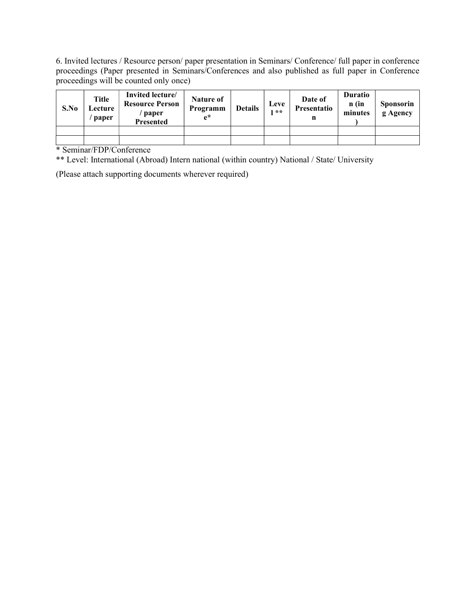6. Invited lectures / Resource person/ paper presentation in Seminars/ Conference/ full paper in conference proceedings (Paper presented in Seminars/Conferences and also published as full paper in Conference proceedings will be counted only once)

| S.No | Title<br>$\mathsf{\scriptstyle \perp}$ ecture $\mathsf{\scriptstyle \perp}$<br>paper | Invited lecture/<br><b>Resource Person</b><br>paper<br><b>Presented</b> | Nature of<br>Programm<br>$e^*$ | <b>Details</b> | Leve<br>$* *$ | Date of<br>Presentatio<br>n | <b>Duratio</b><br>n (in<br>minutes | <b>Sponsorin</b><br>g Agency |
|------|--------------------------------------------------------------------------------------|-------------------------------------------------------------------------|--------------------------------|----------------|---------------|-----------------------------|------------------------------------|------------------------------|
|      |                                                                                      |                                                                         |                                |                |               |                             |                                    |                              |
|      |                                                                                      |                                                                         |                                |                |               |                             |                                    |                              |

\* Seminar/FDP/Conference

\*\* Level: International (Abroad) Intern national (within country) National / State/ University

(Please attach supporting documents wherever required)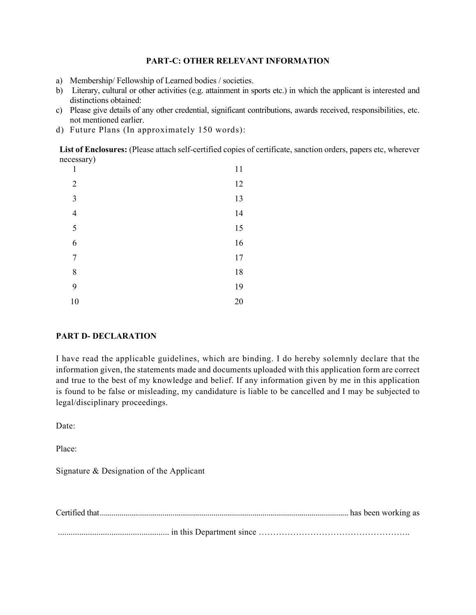#### PART-C: OTHER RELEVANT INFORMATION

- a) Membership/ Fellowship of Learned bodies / societies.
- b) Literary, cultural or other activities (e.g. attainment in sports etc.) in which the applicant is interested and distinctions obtained:
- c) Please give details of any other credential, significant contributions, awards received, responsibilities, etc. not mentioned earlier.
- d) Future Plans (In approximately 150 words):

List of Enclosures: (Please attach self-certified copies of certificate, sanction orders, papers etc, wherever necessary)

| $\mathbf{1}$   | 11     |
|----------------|--------|
| $\overline{2}$ | 12     |
| 3              | 13     |
| $\overline{4}$ | 14     |
| 5              | 15     |
| 6              | 16     |
| $\overline{7}$ | $17\,$ |
| $\,$ 8 $\,$    | 18     |
| 9              | 19     |
| 10             | $20\,$ |

## PART D- DECLARATION

I have read the applicable guidelines, which are binding. I do hereby solemnly declare that the information given, the statements made and documents uploaded with this application form are correct and true to the best of my knowledge and belief. If any information given by me in this application is found to be false or misleading, my candidature is liable to be cancelled and I may be subjected to legal/disciplinary proceedings.

Date:

Place:

Signature & Designation of the Applicant

Certified that ............................................................................................................................... has been working as .................................................... in this Department since ……………………………………………..